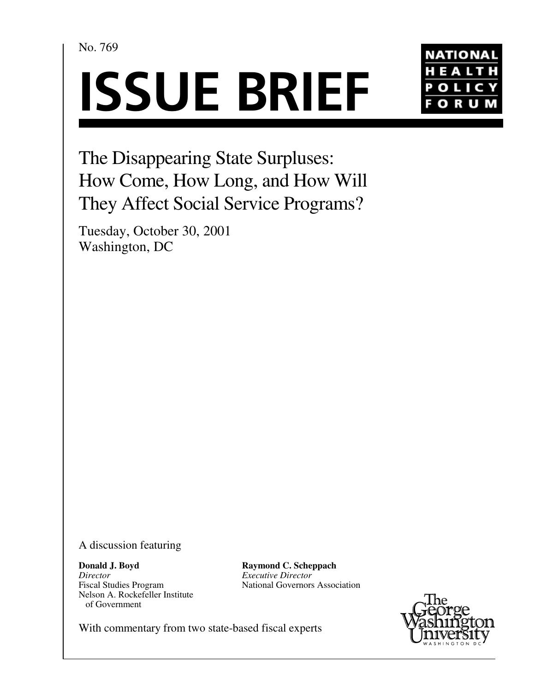No. 769





The Disappearing State Surpluses: How Come, How Long, and How Will They Affect Social Service Programs?

Tuesday, October 30, 2001 Washington, DC

A discussion featuring

**Donald J. Boyd** *Director* Fiscal Studies Program Nelson A. Rockefeller Institute of Government

**Raymond C. Scheppach** *Executive Director* National Governors Association



With commentary from two state-based fiscal experts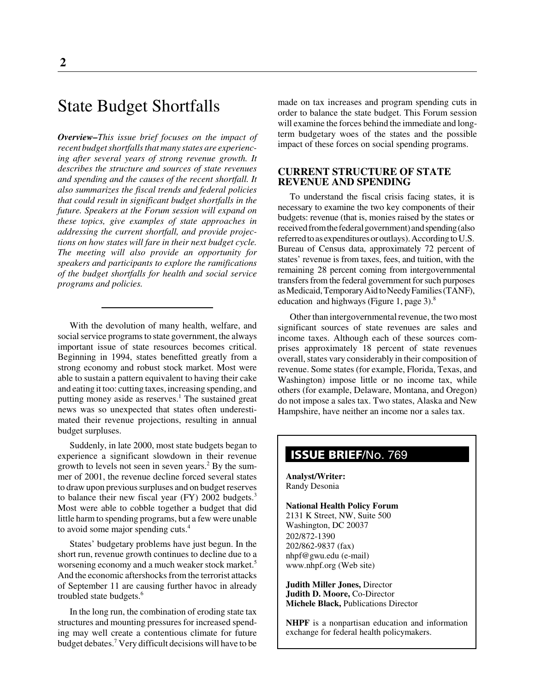# State Budget Shortfalls

*Overview–This issue brief focuses on the impact of recent budget shortfalls that many states are experiencing after several years of strong revenue growth. It describes the structure and sources of state revenues and spending and the causes of the recent shortfall. It also summarizes the fiscal trends and federal policies that could result in significant budget shortfalls in the future. Speakers at the Forum session will expand on these topics, give examples of state approaches in addressing the current shortfall, and provide projections on how states will fare in their next budget cycle. The meeting will also provide an opportunity for speakers and participants to explore the ramifications of the budget shortfalls for health and social service programs and policies.*

With the devolution of many health, welfare, and social service programs to state government, the always important issue of state resources becomes critical. Beginning in 1994, states benefitted greatly from a strong economy and robust stock market. Most were able to sustain a pattern equivalent to having their cake and eating it too: cutting taxes, increasing spending, and putting money aside as reserves.<sup>1</sup> The sustained great news was so unexpected that states often underestimated their revenue projections, resulting in annual budget surpluses.

Suddenly, in late 2000, most state budgets began to experience a significant slowdown in their revenue growth to levels not seen in seven years.<sup>2</sup> By the summer of 2001, the revenue decline forced several states to draw upon previous surpluses and on budget reserves to balance their new fiscal year (FY) 2002 budgets.<sup>3</sup> Most were able to cobble together a budget that did little harm to spending programs, but a few were unable to avoid some major spending cuts.4

States' budgetary problems have just begun. In the short run, revenue growth continues to decline due to a worsening economy and a much weaker stock market.<sup>5</sup> And the economic aftershocks from the terrorist attacks of September 11 are causing further havoc in already troubled state budgets.<sup>6</sup>

In the long run, the combination of eroding state tax structures and mounting pressures for increased spending may well create a contentious climate for future budget debates.<sup>7</sup> Very difficult decisions will have to be

made on tax increases and program spending cuts in order to balance the state budget. This Forum session will examine the forces behind the immediate and longterm budgetary woes of the states and the possible impact of these forces on social spending programs.

## **CURRENT STRUCTURE OF STATE REVENUE AND SPENDING**

To understand the fiscal crisis facing states, it is necessary to examine the two key components of their budgets: revenue (that is, monies raised by the states or received from the federal government) and spending (also referred to as expenditures or outlays). According to U.S. Bureau of Census data, approximately 72 percent of states' revenue is from taxes, fees, and tuition, with the remaining 28 percent coming from intergovernmental transfers from the federal government for such purposes as Medicaid, Temporary Aid to Needy Families (TANF), education and highways (Figure 1, page 3). $8$ 

Other than intergovernmental revenue, the two most significant sources of state revenues are sales and income taxes. Although each of these sources comprises approximately 18 percent of state revenues overall, states vary considerably in their composition of revenue. Some states (for example, Florida, Texas, and Washington) impose little or no income tax, while others (for example, Delaware, Montana, and Oregon) do not impose a sales tax. Two states, Alaska and New Hampshire, have neither an income nor a sales tax.

## **ISSUE BRIEF**/No. 769

**Analyst/Writer:** Randy Desonia

### **National Health Policy Forum**

2131 K Street, NW, Suite 500 Washington, DC 20037 202/872-1390 202/862-9837 (fax) nhpf@gwu.edu (e-mail) www.nhpf.org (Web site)

**Judith Miller Jones,** Director **Judith D. Moore,** Co-Director **Michele Black,** Publications Director

**NHPF** is a nonpartisan education and information exchange for federal health policymakers.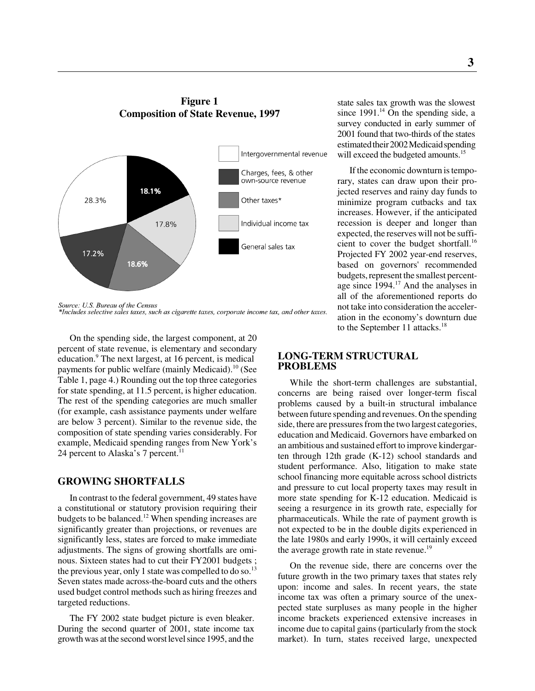## **Figure 1 Composition of State Revenue, 1997**



Source: U.S. Bureau of the Census \*Includes selective sales taxes, such as cigarette taxes, corporate income tax, and other taxes.

On the spending side, the largest component, at 20 percent of state revenue, is elementary and secondary education.<sup>9</sup> The next largest, at 16 percent, is medical payments for public welfare (mainly Medicaid).<sup>10</sup> (See Table 1, page 4.) Rounding out the top three categories for state spending, at 11.5 percent, is higher education. The rest of the spending categories are much smaller (for example, cash assistance payments under welfare are below 3 percent). Similar to the revenue side, the composition of state spending varies considerably. For example, Medicaid spending ranges from New York's 24 percent to Alaska's 7 percent.<sup>11</sup>

## **GROWING SHORTFALLS**

In contrast to the federal government, 49 states have a constitutional or statutory provision requiring their budgets to be balanced.<sup>12</sup> When spending increases are significantly greater than projections, or revenues are significantly less, states are forced to make immediate adjustments. The signs of growing shortfalls are ominous. Sixteen states had to cut their FY2001 budgets ; the previous year, only 1 state was compelled to do so.<sup>13</sup> Seven states made across-the-board cuts and the others used budget control methods such as hiring freezes and targeted reductions.

The FY 2002 state budget picture is even bleaker. During the second quarter of 2001, state income tax growth was at the second worst level since 1995, and the

state sales tax growth was the slowest since  $1991<sup>14</sup>$  On the spending side, a survey conducted in early summer of 2001 found that two-thirds of the states estimated their 2002 Medicaid spending will exceed the budgeted amounts.<sup>15</sup>

If the economic downturn is temporary, states can draw upon their projected reserves and rainy day funds to minimize program cutbacks and tax increases. However, if the anticipated recession is deeper and longer than expected, the reserves will not be sufficient to cover the budget shortfall.<sup>16</sup> Projected FY 2002 year-end reserves, based on governors' recommended budgets, represent the smallest percentage since 1994.<sup>17</sup> And the analyses in all of the aforementioned reports do not take into consideration the acceleration in the economy's downturn due to the September 11 attacks.<sup>18</sup>

## **LONG-TERM STRUCTURAL PROBLEMS**

While the short-term challenges are substantial, concerns are being raised over longer-term fiscal problems caused by a built-in structural imbalance between future spending and revenues. On the spending side, there are pressures from the two largest categories, education and Medicaid. Governors have embarked on an ambitious and sustained effort to improve kindergarten through 12th grade (K-12) school standards and student performance. Also, litigation to make state school financing more equitable across school districts and pressure to cut local property taxes may result in more state spending for K-12 education. Medicaid is seeing a resurgence in its growth rate, especially for pharmaceuticals. While the rate of payment growth is not expected to be in the double digits experienced in the late 1980s and early 1990s, it will certainly exceed the average growth rate in state revenue.<sup>19</sup>

On the revenue side, there are concerns over the future growth in the two primary taxes that states rely upon: income and sales. In recent years, the state income tax was often a primary source of the unexpected state surpluses as many people in the higher income brackets experienced extensive increases in income due to capital gains (particularly from the stock market). In turn, states received large, unexpected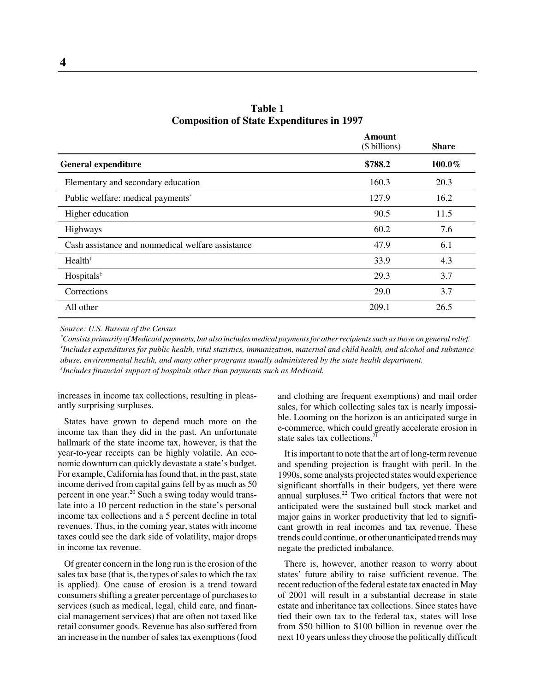|                                                   | Amount<br>(\$ billions) | <b>Share</b> |
|---------------------------------------------------|-------------------------|--------------|
| <b>General expenditure</b>                        | \$788.2                 | 100.0%       |
| Elementary and secondary education                | 160.3                   | 20.3         |
| Public welfare: medical payments*                 | 127.9                   | 16.2         |
| Higher education                                  | 90.5                    | 11.5         |
| Highways                                          | 60.2                    | 7.6          |
| Cash assistance and nonmedical welfare assistance | 47.9                    | 6.1          |
| Health <sup>†</sup>                               | 33.9                    | 4.3          |
| Hospitals <sup>*</sup>                            | 29.3                    | 3.7          |
| Corrections                                       | 29.0                    | 3.7          |
| All other                                         | 209.1                   | 26.5         |

**Table 1 Composition of State Expenditures in 1997**

*Source: U.S. Bureau of the Census*

*\* Consists primarily of Medicaid payments, but also includes medical payments for other recipients such as those on general relief. † Includes expenditures for public health, vital statistics, immunization, maternal and child health, and alcohol and substance abuse, environmental health, and many other programs usually administered by the state health department. ‡ Includes financial support of hospitals other than payments such as Medicaid.*

increases in income tax collections, resulting in pleasantly surprising surpluses.

States have grown to depend much more on the income tax than they did in the past. An unfortunate hallmark of the state income tax, however, is that the year-to-year receipts can be highly volatile. An economic downturn can quickly devastate a state's budget. For example, California has found that, in the past, state income derived from capital gains fell by as much as 50 percent in one year.20 Such a swing today would translate into a 10 percent reduction in the state's personal income tax collections and a 5 percent decline in total revenues. Thus, in the coming year, states with income taxes could see the dark side of volatility, major drops in income tax revenue.

Of greater concern in the long run is the erosion of the sales tax base (that is, the types of sales to which the tax is applied). One cause of erosion is a trend toward consumers shifting a greater percentage of purchases to services (such as medical, legal, child care, and financial management services) that are often not taxed like retail consumer goods. Revenue has also suffered from an increase in the number of sales tax exemptions (food

and clothing are frequent exemptions) and mail order sales, for which collecting sales tax is nearly impossible. Looming on the horizon is an anticipated surge in e-commerce, which could greatly accelerate erosion in state sales tax collections. $^{21}$ 

It is important to note that the art of long-term revenue and spending projection is fraught with peril. In the 1990s, some analysts projected states would experience significant shortfalls in their budgets, yet there were annual surpluses. $22$  Two critical factors that were not anticipated were the sustained bull stock market and major gains in worker productivity that led to significant growth in real incomes and tax revenue. These trends could continue, or other unanticipated trends may negate the predicted imbalance.

There is, however, another reason to worry about states' future ability to raise sufficient revenue. The recent reduction of the federal estate tax enacted in May of 2001 will result in a substantial decrease in state estate and inheritance tax collections. Since states have tied their own tax to the federal tax, states will lose from \$50 billion to \$100 billion in revenue over the next 10 years unless they choose the politically difficult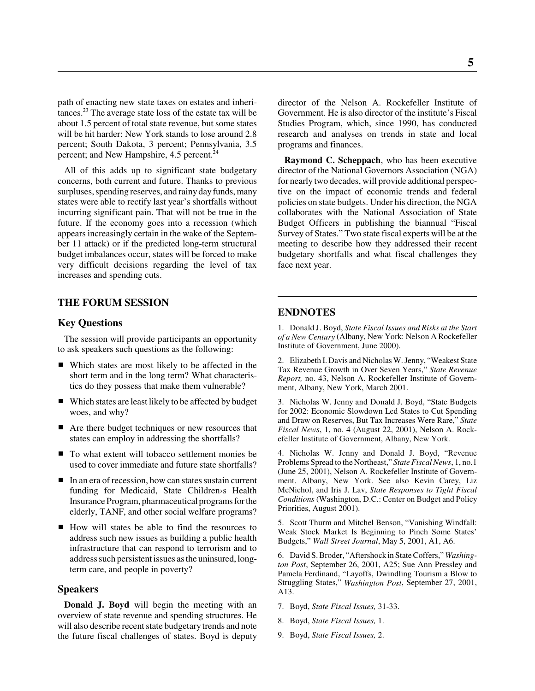path of enacting new state taxes on estates and inheritances.23 The average state loss of the estate tax will be about 1.5 percent of total state revenue, but some states will be hit harder: New York stands to lose around 2.8 percent; South Dakota, 3 percent; Pennsylvania, 3.5 percent; and New Hampshire, 4.5 percent.<sup>24</sup>

All of this adds up to significant state budgetary concerns, both current and future. Thanks to previous surpluses, spending reserves, and rainy day funds, many states were able to rectify last year's shortfalls without incurring significant pain. That will not be true in the future. If the economy goes into a recession (which appears increasingly certain in the wake of the September 11 attack) or if the predicted long-term structural budget imbalances occur, states will be forced to make very difficult decisions regarding the level of tax increases and spending cuts.

## **THE FORUM SESSION**

### **Key Questions**

The session will provide participants an opportunity to ask speakers such questions as the following:

- Which states are most likely to be affected in the short term and in the long term? What characteristics do they possess that make them vulnerable?
- Which states are least likely to be affected by budget woes, and why?
- Are there budget techniques or new resources that states can employ in addressing the shortfalls?
- To what extent will tobacco settlement monies be used to cover immediate and future state shortfalls?
- In an era of recession, how can states sustain current funding for Medicaid, State Children›s Health Insurance Program, pharmaceutical programs for the elderly, TANF, and other social welfare programs?
- How will states be able to find the resources to address such new issues as building a public health infrastructure that can respond to terrorism and to address such persistent issues as the uninsured, longterm care, and people in poverty?

#### **Speakers**

**Donald J. Boyd** will begin the meeting with an overview of state revenue and spending structures. He will also describe recent state budgetary trends and note the future fiscal challenges of states. Boyd is deputy

director of the Nelson A. Rockefeller Institute of Government. He is also director of the institute's Fiscal Studies Program, which, since 1990, has conducted research and analyses on trends in state and local programs and finances.

**Raymond C. Scheppach**, who has been executive director of the National Governors Association (NGA) for nearly two decades, will provide additional perspective on the impact of economic trends and federal policies on state budgets. Under his direction, the NGA collaborates with the National Association of State Budget Officers in publishing the biannual "Fiscal Survey of States." Two state fiscal experts will be at the meeting to describe how they addressed their recent budgetary shortfalls and what fiscal challenges they face next year.

#### **ENDNOTES**

1. Donald J. Boyd, *State Fiscal Issues and Risks at the Start of a New Century* (Albany, New York: Nelson A Rockefeller Institute of Government, June 2000).

2. Elizabeth I. Davis and Nicholas W. Jenny, "Weakest State Tax Revenue Growth in Over Seven Years," *State Revenue Report,* no. 43, Nelson A. Rockefeller Institute of Government, Albany, New York, March 2001.

3. Nicholas W. Jenny and Donald J. Boyd, "State Budgets for 2002: Economic Slowdown Led States to Cut Spending and Draw on Reserves, But Tax Increases Were Rare," *State Fiscal News*, 1, no. 4 (August 22, 2001), Nelson A. Rockefeller Institute of Government, Albany, New York.

4. Nicholas W. Jenny and Donald J. Boyd, "Revenue Problems Spread to the Northeast," *State Fiscal News*, 1, no.1 (June 25, 2001), Nelson A. Rockefeller Institute of Government. Albany, New York. See also Kevin Carey, Liz McNichol, and Iris J. Lav, *State Responses to Tight Fiscal Conditions* (Washington, D.C.: Center on Budget and Policy Priorities, August 2001).

5. Scott Thurm and Mitchel Benson, "Vanishing Windfall: Weak Stock Market Is Beginning to Pinch Some States' Budgets," *Wall Street Journal*, May 5, 2001, A1, A6.

6. David S. Broder, "Aftershock in State Coffers," *Washington Post*, September 26, 2001, A25; Sue Ann Pressley and Pamela Ferdinand, "Layoffs, Dwindling Tourism a Blow to Struggling States," *Washington Post*, September 27, 2001, A13.

- 7. Boyd, *State Fiscal Issues,* 31-33.
- 8. Boyd, *State Fiscal Issues,* 1.
- 9. Boyd, *State Fiscal Issues,* 2.